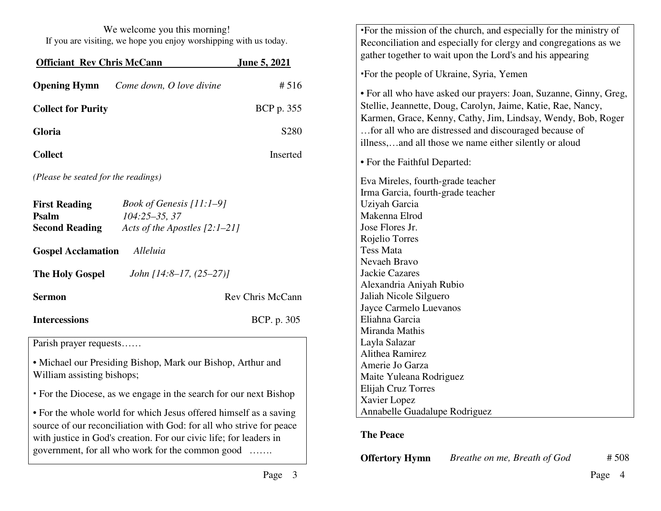We welcome you this morning! If you are visiting, we hope you enjoy worshipping with us today.

| <b>Officiant Rev Chris McCann</b>                      |                                                                                                                                                                                                                                                                    | <u>June 5, 2021</u>     |
|--------------------------------------------------------|--------------------------------------------------------------------------------------------------------------------------------------------------------------------------------------------------------------------------------------------------------------------|-------------------------|
| <b>Opening Hymn</b>                                    | Come down, O love divine                                                                                                                                                                                                                                           | #516                    |
| <b>Collect for Purity</b>                              |                                                                                                                                                                                                                                                                    | BCP p. 355              |
| <b>Gloria</b>                                          |                                                                                                                                                                                                                                                                    | S280                    |
| <b>Collect</b>                                         |                                                                                                                                                                                                                                                                    | Inserted                |
| (Please be seated for the readings)                    |                                                                                                                                                                                                                                                                    |                         |
| <b>First Reading</b><br>Psalm<br><b>Second Reading</b> | Book of Genesis [11:1–9]<br>$104:25-35,37$<br>Acts of the Apostles [2:1-21]                                                                                                                                                                                        |                         |
| <b>Gospel Acclamation</b>                              | Alleluia                                                                                                                                                                                                                                                           |                         |
| <b>The Holy Gospel</b>                                 | John $[14:8-17, (25-27)]$                                                                                                                                                                                                                                          |                         |
| <b>Sermon</b>                                          |                                                                                                                                                                                                                                                                    | <b>Rev Chris McCann</b> |
| <b>Intercessions</b>                                   |                                                                                                                                                                                                                                                                    | BCP. p. 305             |
| Parish prayer requests                                 |                                                                                                                                                                                                                                                                    |                         |
| William assisting bishops;                             | • Michael our Presiding Bishop, Mark our Bishop, Arthur and                                                                                                                                                                                                        |                         |
|                                                        | • For the Diocese, as we engage in the search for our next Bishop                                                                                                                                                                                                  |                         |
|                                                        | • For the whole world for which Jesus offered himself as a saving<br>source of our reconciliation with God: for all who strive for peace<br>with justice in God's creation. For our civic life; for leaders in<br>government, for all who work for the common good |                         |

| •For the mission of the church, and especially for the ministry of |  |  |  |
|--------------------------------------------------------------------|--|--|--|
| Reconciliation and especially for clergy and congregations as we   |  |  |  |
| gather together to wait upon the Lord's and his appearing          |  |  |  |
|                                                                    |  |  |  |
| •For the people of Ukraine, Syria, Yemen                           |  |  |  |
| • For all who have asked our prayers: Joan, Suzanne, Ginny, Greg,  |  |  |  |
| Stellie, Jeannette, Doug, Carolyn, Jaime, Katie, Rae, Nancy,       |  |  |  |
| Karmen, Grace, Kenny, Cathy, Jim, Lindsay, Wendy, Bob, Roger       |  |  |  |
| for all who are distressed and discouraged because of              |  |  |  |
| illness,and all those we name either silently or aloud             |  |  |  |
|                                                                    |  |  |  |
| • For the Faithful Departed:                                       |  |  |  |
| Eva Mireles, fourth-grade teacher                                  |  |  |  |
| Irma Garcia, fourth-grade teacher                                  |  |  |  |
| Uziyah Garcia                                                      |  |  |  |
| Makenna Elrod                                                      |  |  |  |
| Jose Flores Jr.                                                    |  |  |  |
| Rojelio Torres                                                     |  |  |  |
| <b>Tess Mata</b>                                                   |  |  |  |
| Nevaeh Bravo                                                       |  |  |  |
| <b>Jackie Cazares</b>                                              |  |  |  |
| Alexandria Aniyah Rubio                                            |  |  |  |
| Jaliah Nicole Silguero                                             |  |  |  |
| Jayce Carmelo Luevanos                                             |  |  |  |
| Eliahna Garcia                                                     |  |  |  |
| Miranda Mathis                                                     |  |  |  |
| Layla Salazar                                                      |  |  |  |
| Alithea Ramirez                                                    |  |  |  |
| Amerie Jo Garza                                                    |  |  |  |
| Maite Yuleana Rodriguez                                            |  |  |  |
| Elijah Cruz Torres                                                 |  |  |  |
| Xavier Lopez                                                       |  |  |  |
| Annabelle Guadalupe Rodriguez                                      |  |  |  |
|                                                                    |  |  |  |

## **The Peace**

**Offertory Hymn** *Breathe on me, Breath of God* # 508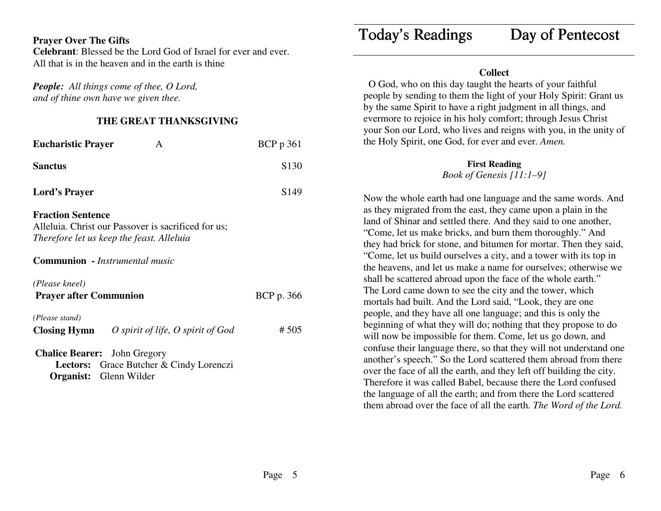## **Prayer Over The Gifts**

 **Celebrant**: Blessed be the Lord God of Israel for ever and ever. All that is in the heaven and in the earth is thine

*People: All things come of thee, O Lord, and of thine own have we given thee.* 

## **THE GREAT THANKSGIVING**

| <b>Eucharistic Prayer</b><br>$\mathsf{A}$                                                                                                                                    | <b>BCP</b> p 361 |
|------------------------------------------------------------------------------------------------------------------------------------------------------------------------------|------------------|
| <b>Sanctus</b>                                                                                                                                                               | S <sub>130</sub> |
| Lord's Prayer                                                                                                                                                                | S <sub>149</sub> |
| <b>Fraction Sentence</b><br>Alleluia. Christ our Passover is sacrificed for us;<br>Therefore let us keep the feast. Alleluia<br><b>Communion</b> - <i>Instrumental music</i> |                  |
| (Please kneel)<br><b>Prayer after Communion</b>                                                                                                                              | BCP p. 366       |
| (Please stand)<br><b>Closing Hymn</b> O spirit of life, O spirit of God                                                                                                      | # 505            |
| <b>Chalice Bearer:</b> John Gregory<br><b>Lectors:</b> Grace Butcher & Cindy Lorenczi<br><b>Organist:</b> Glenn Wilder                                                       |                  |

#### Today's ReadingsDay of Pentecost

## **Collect**

 O God, who on this day taught the hearts of your faithful people by sending to them the light of your Holy Spirit: Grant us by the same Spirit to have a right judgment in all things, and evermore to rejoice in his holy comfort; through Jesus Christ your Son our Lord, who lives and reigns with you, in the unity of the Holy Spirit, one God, for ever and ever. *Amen.*

# **First Reading**

*Book of Genesis [11:1–9]* 

Now the whole earth had one language and the same words. And as they migrated from the east, they came upon a plain in the land of Shinar and settled there. And they said to one another, "Come, let us make bricks, and burn them thoroughly." And they had brick for stone, and bitumen for mortar. Then they said, "Come, let us build ourselves a city, and a tower with its top in the heavens, and let us make a name for ourselves; otherwise we shall be scattered abroad upon the face of the whole earth." The Lord came down to see the city and the tower, which mortals had built. And the Lord said, "Look, they are one people, and they have all one language; and this is only the beginning of what they will do; nothing that they propose to do will now be impossible for them. Come, let us go down, and confuse their language there, so that they will not understand one another's speech." So the Lord scattered them abroad from there over the face of all the earth, and they left off building the city. Therefore it was called Babel, because there the Lord confused the language of all the earth; and from there the Lord scattered them abroad over the face of all the earth. *The Word of the Lord.*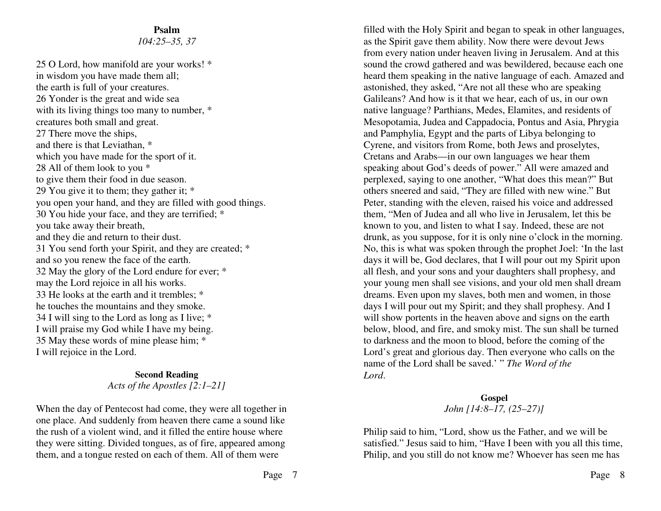### **Psalm**

## *104:25–35, 37*

25 O Lord, how manifold are your works! \* in wisdom you have made them all; the earth is full of your creatures. 26 Yonder is the great and wide sea with its living things too many to number,  $*$ creatures both small and great. 27 There move the ships, and there is that Leviathan, \* which you have made for the sport of it. 28 All of them look to you \* to give them their food in due season. 29 You give it to them; they gather it; \* you open your hand, and they are filled with good things. 30 You hide your face, and they are terrified; \* you take away their breath, and they die and return to their dust. 31 You send forth your Spirit, and they are created; \* and so you renew the face of the earth. 32 May the glory of the Lord endure for ever; \* may the Lord rejoice in all his works. 33 He looks at the earth and it trembles; \* he touches the mountains and they smoke. 34 I will sing to the Lord as long as I live; \* I will praise my God while I have my being. 35 May these words of mine please him; \* I will rejoice in the Lord.

### **Second Reading**

*Acts of the Apostles [2:1–21]* 

When the day of Pentecost had come, they were all together in one place. And suddenly from heaven there came a sound like the rush of a violent wind, and it filled the entire house where they were sitting. Divided tongues, as of fire, appeared among them, and a tongue rested on each of them. All of them were

filled with the Holy Spirit and began to speak in other languages, as the Spirit gave them ability. Now there were devout Jews from every nation under heaven living in Jerusalem. And at this sound the crowd gathered and was bewildered, because each one heard them speaking in the native language of each. Amazed and astonished, they asked, "Are not all these who are speaking Galileans? And how is it that we hear, each of us, in our own native language? Parthians, Medes, Elamites, and residents of Mesopotamia, Judea and Cappadocia, Pontus and Asia, Phrygia and Pamphylia, Egypt and the parts of Libya belonging to Cyrene, and visitors from Rome, both Jews and proselytes, Cretans and Arabs—in our own languages we hear them speaking about God's deeds of power." All were amazed and perplexed, saying to one another, "What does this mean?" But others sneered and said, "They are filled with new wine." But Peter, standing with the eleven, raised his voice and addressed them, "Men of Judea and all who live in Jerusalem, let this be known to you, and listen to what I say. Indeed, these are not drunk, as you suppose, for it is only nine o'clock in the morning. No, this is what was spoken through the prophet Joel: 'In the last days it will be, God declares, that I will pour out my Spirit upon all flesh, and your sons and your daughters shall prophesy, and your young men shall see visions, and your old men shall dream dreams. Even upon my slaves, both men and women, in those days I will pour out my Spirit; and they shall prophesy. And I will show portents in the heaven above and signs on the earth below, blood, and fire, and smoky mist. The sun shall be turned to darkness and the moon to blood, before the coming of the Lord's great and glorious day. Then everyone who calls on the name of the Lord shall be saved.' " *The Word of the Lord*.

## **Gospel** *John [14:8–17, (25–27)]*

Philip said to him, "Lord, show us the Father, and we will be satisfied." Jesus said to him, "Have I been with you all this time, Philip, and you still do not know me? Whoever has seen me has